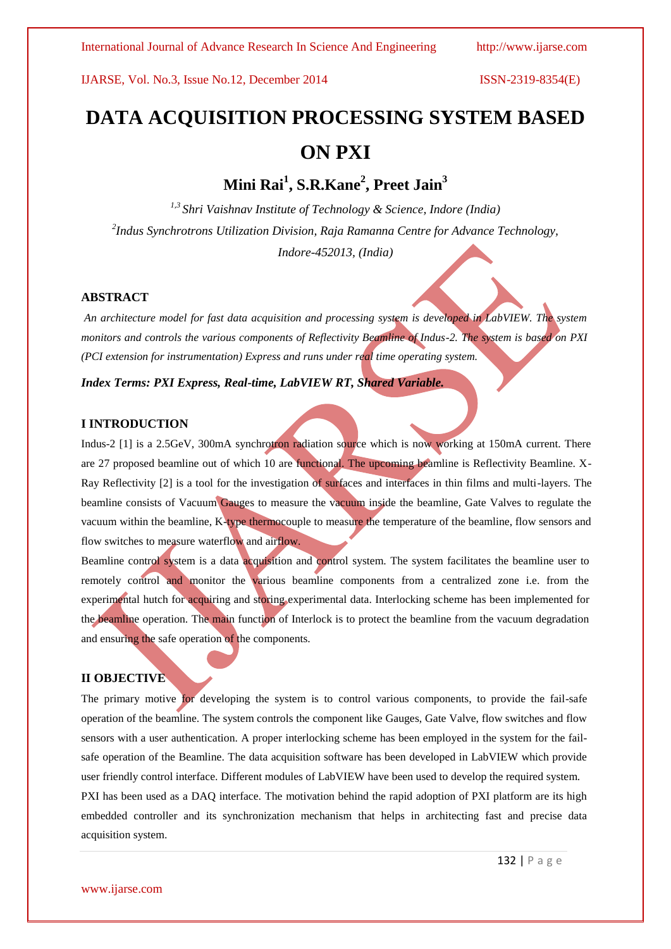# **DATA ACQUISITION PROCESSING SYSTEM BASED ON PXI**

**Mini Rai<sup>1</sup> , S.R.Kane<sup>2</sup> , Preet Jain<sup>3</sup>**

*1,3 Shri Vaishnav Institute of Technology & Science, Indore (India) 2 Indus Synchrotrons Utilization Division, Raja Ramanna Centre for Advance Technology, Indore-452013, (India)*

#### **ABSTRACT**

*An architecture model for fast data acquisition and processing system is developed in LabVIEW. The system monitors and controls the various components of Reflectivity Beamline of Indus-2. The system is based on PXI (PCI extension for instrumentation) Express and runs under real time operating system.*

*Index Terms: PXI Express, Real-time, LabVIEW RT, Shared Variable.*

### **I INTRODUCTION**

Indus-2 [1] is a 2.5GeV, 300mA synchrotron radiation source which is now working at 150mA current. There are 27 proposed beamline out of which 10 are functional. The upcoming beamline is Reflectivity Beamline. X-Ray Reflectivity [2] is a tool for the investigation of surfaces and interfaces in thin films and multi-layers. The beamline consists of Vacuum Gauges to measure the vacuum inside the beamline, Gate Valves to regulate the vacuum within the beamline, K-type thermocouple to measure the temperature of the beamline, flow sensors and flow switches to measure waterflow and airflow.

Beamline control system is a data acquisition and control system. The system facilitates the beamline user to remotely control and monitor the various beamline components from a centralized zone i.e. from the experimental hutch for acquiring and storing experimental data. Interlocking scheme has been implemented for the beamline operation. The main function of Interlock is to protect the beamline from the vacuum degradation and ensuring the safe operation of the components.

# **II OBJECTIVE**

The primary motive for developing the system is to control various components, to provide the fail-safe operation of the beamline. The system controls the component like Gauges, Gate Valve, flow switches and flow sensors with a user authentication. A proper interlocking scheme has been employed in the system for the failsafe operation of the Beamline. The data acquisition software has been developed in LabVIEW which provide user friendly control interface. Different modules of LabVIEW have been used to develop the required system. PXI has been used as a DAQ interface. The motivation behind the rapid adoption of PXI platform are its high embedded controller and its synchronization mechanism that helps in architecting fast and precise data acquisition system.

132 | P a g e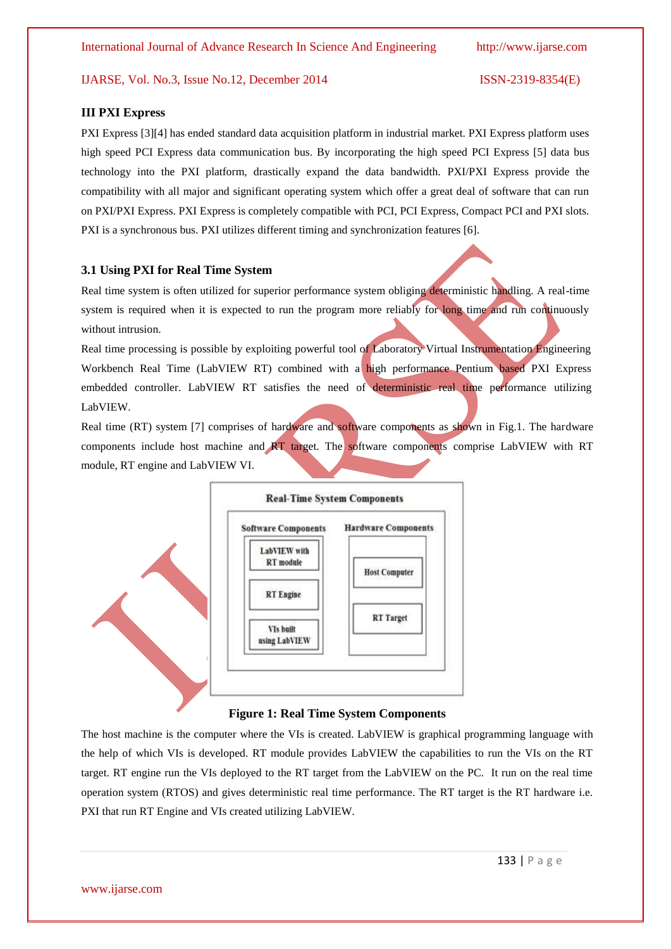#### **III PXI Express**

PXI Express [3][4] has ended standard data acquisition platform in industrial market. PXI Express platform uses high speed PCI Express data communication bus. By incorporating the high speed PCI Express [5] data bus technology into the PXI platform, drastically expand the data bandwidth. PXI/PXI Express provide the compatibility with all major and significant operating system which offer a great deal of software that can run on PXI/PXI Express. PXI Express is completely compatible with PCI, PCI Express, Compact PCI and PXI slots. PXI is a synchronous bus. PXI utilizes different timing and synchronization features [6].

#### **3.1 Using PXI for Real Time System**

Real time system is often utilized for superior performance system obliging deterministic handling. A real-time system is required when it is expected to run the program more reliably for long time and run continuously without intrusion.

Real time processing is possible by exploiting powerful tool of Laboratory Virtual Instrumentation Engineering Workbench Real Time (LabVIEW RT) combined with a high performance Pentium based PXI Express embedded controller. LabVIEW RT satisfies the need of deterministic real time performance utilizing LabVIEW.

Real time (RT) system [7] comprises of hardware and software components as shown in Fig.1. The hardware components include host machine and RT target. The software components comprise LabVIEW with RT module, RT engine and LabVIEW VI.



#### **Figure 1: Real Time System Components**

The host machine is the computer where the VIs is created. LabVIEW is graphical programming language with the help of which VIs is developed. RT module provides LabVIEW the capabilities to run the VIs on the RT target. RT engine run the VIs deployed to the RT target from the LabVIEW on the PC. It run on the real time operation system (RTOS) and gives deterministic real time performance. The RT target is the RT hardware i.e. PXI that run RT Engine and VIs created utilizing LabVIEW.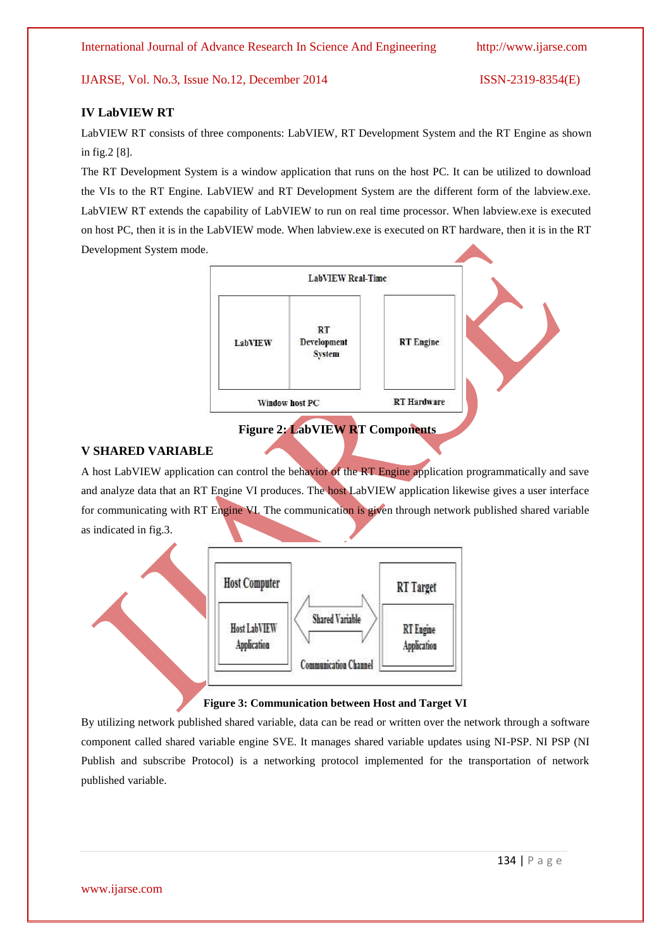### **IV LabVIEW RT**

LabVIEW RT consists of three components: LabVIEW, RT Development System and the RT Engine as shown in fig.2 [8].

The RT Development System is a window application that runs on the host PC. It can be utilized to download the VIs to the RT Engine. LabVIEW and RT Development System are the different form of the labview.exe. LabVIEW RT extends the capability of LabVIEW to run on real time processor. When labview.exe is executed on host PC, then it is in the LabVIEW mode. When labview.exe is executed on RT hardware, then it is in the RT Development System mode.



# **Figure 2: LabVIEW RT Components**

### **V SHARED VARIABLE**

A host LabVIEW application can control the behavior of the RT Engine application programmatically and save and analyze data that an RT Engine VI produces. The host LabVIEW application likewise gives a user interface for communicating with RT Engine VI. The communication is given through network published shared variable as indicated in fig.3.



### **Figure 3: Communication between Host and Target VI**

By utilizing network published shared variable, data can be read or written over the network through a software component called shared variable engine SVE. It manages shared variable updates using NI-PSP. NI PSP (NI Publish and subscribe Protocol) is a networking protocol implemented for the transportation of network published variable.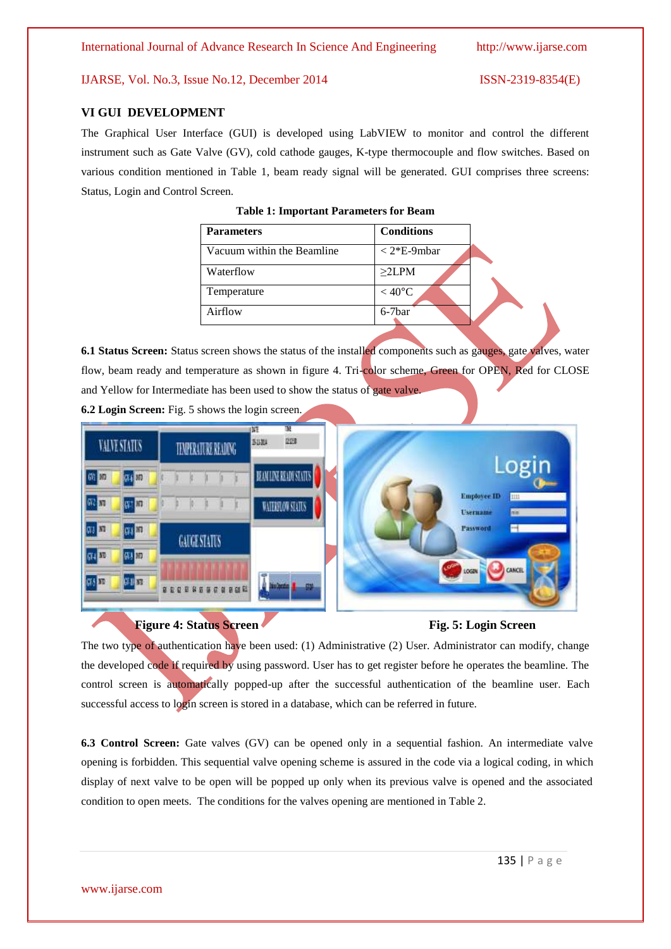#### **VI GUI DEVELOPMENT**

The Graphical User Interface (GUI) is developed using LabVIEW to monitor and control the different instrument such as Gate Valve (GV), cold cathode gauges, K-type thermocouple and flow switches. Based on various condition mentioned in Table 1, beam ready signal will be generated. GUI comprises three screens: Status, Login and Control Screen.

| <b>Parameters</b>          | <b>Conditions</b>   |  |
|----------------------------|---------------------|--|
| Vacuum within the Beamline | $<$ 2*E-9mbar       |  |
| Waterflow                  | $\geq$ 2LPM         |  |
| Temperature                | $<$ 40 $^{\circ}$ C |  |
| Airflow                    | $6-7bar$            |  |

**6.1 Status Screen:** Status screen shows the status of the installed components such as gauges, gate valves, water flow, beam ready and temperature as shown in figure 4. Tri-color scheme, Green for OPEN, Red for CLOSE and Yellow for Intermediate has been used to show the status of gate valve.



**6.2 Login Screen:** Fig. 5 shows the login screen.

# **Figure 4: Status Screen**

The two type of authentication have been used: (1) Administrative (2) User. Administrator can modify, change the developed code if required by using password. User has to get register before he operates the beamline. The control screen is automatically popped-up after the successful authentication of the beamline user. Each successful access to login screen is stored in a database, which can be referred in future.

**6.3 Control Screen:** Gate valves (GV) can be opened only in a sequential fashion. An intermediate valve opening is forbidden. This sequential valve opening scheme is assured in the code via a logical coding, in which display of next valve to be open will be popped up only when its previous valve is opened and the associated condition to open meets. The conditions for the valves opening are mentioned in Table 2.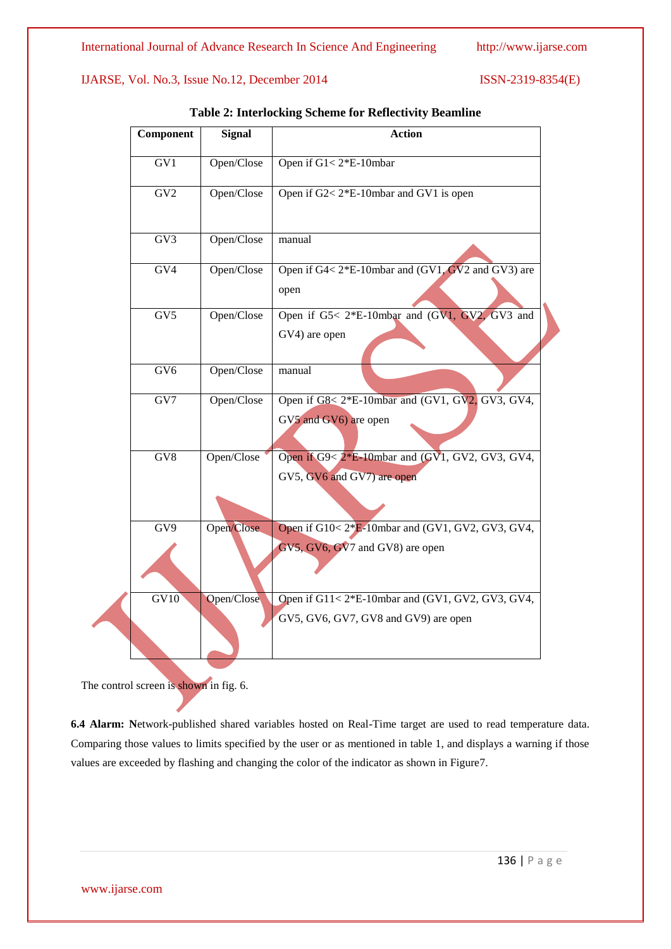| Component       | <b>Signal</b> | <b>Action</b>                                                                           |
|-----------------|---------------|-----------------------------------------------------------------------------------------|
| GV1             | Open/Close    | Open if G1<2*E-10mbar                                                                   |
| GV2             | Open/Close    | Open if G2< 2*E-10mbar and GV1 is open                                                  |
| GV3             | Open/Close    | manual                                                                                  |
| GV4             | Open/Close    | Open if G4< 2*E-10mbar and (GV1, GV2 and GV3) are<br>open                               |
| GV <sub>5</sub> | Open/Close    | Open if G5< 2*E-10mbar and (GV1, GV2, GV3 and<br>GV4) are open                          |
| GV6             | Open/Close    | manual                                                                                  |
| GV7             | Open/Close    | Open if G8< 2*E-10mbar and (GV1, GV2, GV3, GV4,<br>GV5 and GV6) are open                |
| GV8             | Open/Close    | Open if G9< 2*E-10mbar and (GV1, GV2, GV3, GV4,<br>GV5, GV6 and GV7) are open           |
| GV9             | Open/Close    | Open if G10<2*E-10mbar and (GV1, GV2, GV3, GV4,                                         |
|                 |               | GV5, GV6, GV7 and GV8) are open                                                         |
| GV10            | Open/Close    | Open if G11<2*E-10mbar and (GV1, GV2, GV3, GV4,<br>GV5, GV6, GV7, GV8 and GV9) are open |

**Table 2: Interlocking Scheme for Reflectivity Beamline**

The control screen is shown in fig. 6.

**6.4 Alarm: N**etwork-published shared variables hosted on Real-Time target are used to read temperature data. Comparing those values to limits specified by the user or as mentioned in table 1, and displays a warning if those values are exceeded by flashing and changing the color of the indicator as shown in Figure7.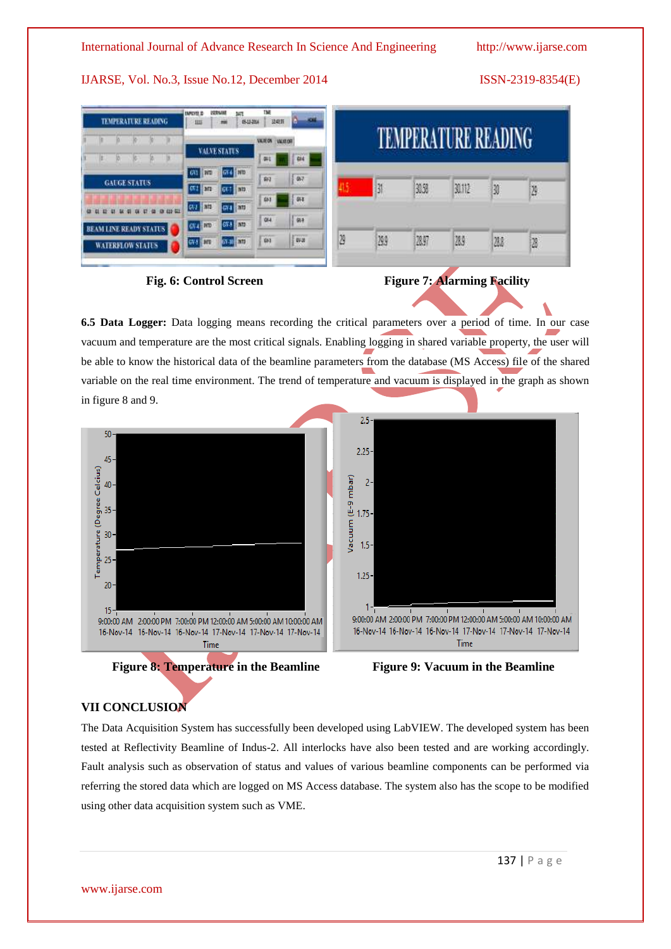| TME<br><b>BAUCES</b><br><b>MT</b><br><b>IMPOVEL ID</b><br><b>TEMPERATURE READENG</b><br>卫电路<br>0142-2016<br>皿<br>酣 |                              |                           |                    |      |       |        |      |     |
|--------------------------------------------------------------------------------------------------------------------|------------------------------|---------------------------|--------------------|------|-------|--------|------|-----|
|                                                                                                                    |                              | VALIDA VALIDAT            | ATURE READING<br>H |      |       |        |      |     |
|                                                                                                                    | <b>VALVE STATUS</b>          | 僻<br>614                  |                    |      |       |        |      |     |
|                                                                                                                    | GF4 1910<br><b>CAT RED</b>   | $\sqrt{37}$<br><b>GVJ</b> |                    |      |       |        |      |     |
| <b>GAUGE STATUS</b>                                                                                                | <b>CV3</b> PTL<br><b>Tan</b> | 54                        | 5                  | 31   | 30.50 | 30.112 | 30   | 129 |
| (h (1) 41                                                                                                          | 074 510<br><b>CVJ   ATD</b>  | 441                       |                    |      |       |        |      |     |
| <b>INE READY STATUS</b>                                                                                            | GV3   ATT<br>GV4 Pro         | $\sqrt{914}$<br>QH        |                    |      |       |        |      |     |
| <b>WATERFLOW STATUS:</b>                                                                                           | 67-W 100<br><b>GV-5 BIT</b>  | $\sqrt{W}$<br>81          | ë                  | 29.9 | 28.97 | 28.9   | 28.2 | Ø   |
|                                                                                                                    |                              |                           |                    |      |       |        |      |     |



**6.5 Data Logger:** Data logging means recording the critical parameters over a period of time. In our case vacuum and temperature are the most critical signals. Enabling logging in shared variable property, the user will be able to know the historical data of the beamline parameters from the database (MS Access) file of the shared variable on the real time environment. The trend of temperature and vacuum is displayed in the graph as shown in figure 8 and 9.



# **VII CONCLUSION**

The Data Acquisition System has successfully been developed using LabVIEW. The developed system has been tested at Reflectivity Beamline of Indus-2. All interlocks have also been tested and are working accordingly. Fault analysis such as observation of status and values of various beamline components can be performed via referring the stored data which are logged on MS Access database. The system also has the scope to be modified using other data acquisition system such as VME.